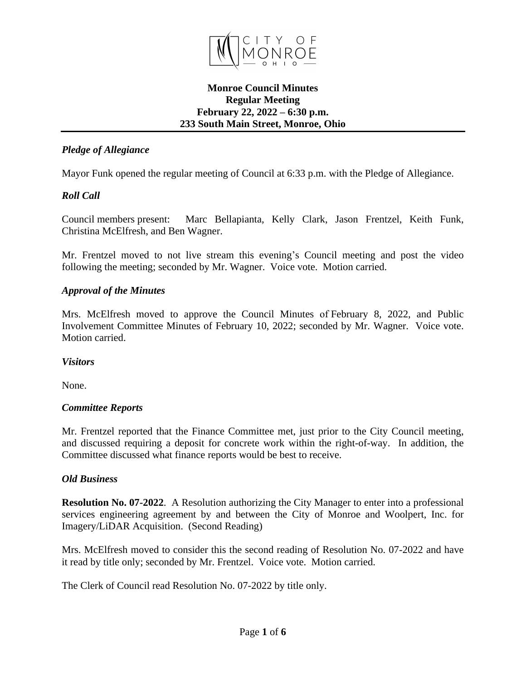

### **Monroe Council Minutes Regular Meeting February 22, 2022 – 6:30 p.m. 233 South Main Street, Monroe, Ohio**

## *Pledge of Allegiance*

Mayor Funk opened the regular meeting of Council at 6:33 p.m. with the Pledge of Allegiance.

# *Roll Call*

Council members present: Marc Bellapianta, Kelly Clark, Jason Frentzel, Keith Funk, Christina McElfresh, and Ben Wagner.

Mr. Frentzel moved to not live stream this evening's Council meeting and post the video following the meeting; seconded by Mr. Wagner. Voice vote. Motion carried.

### *Approval of the Minutes*

Mrs. McElfresh moved to approve the Council Minutes of February 8, 2022, and Public Involvement Committee Minutes of February 10, 2022; seconded by Mr. Wagner. Voice vote. Motion carried.

## *Visitors*

None.

## *Committee Reports*

Mr. Frentzel reported that the Finance Committee met, just prior to the City Council meeting, and discussed requiring a deposit for concrete work within the right-of-way. In addition, the Committee discussed what finance reports would be best to receive.

## *Old Business*

**Resolution No. 07-2022**. A Resolution authorizing the City Manager to enter into a professional services engineering agreement by and between the City of Monroe and Woolpert, Inc. for Imagery/LiDAR Acquisition. (Second Reading)

Mrs. McElfresh moved to consider this the second reading of Resolution No. 07-2022 and have it read by title only; seconded by Mr. Frentzel. Voice vote. Motion carried.

The Clerk of Council read Resolution No. 07-2022 by title only.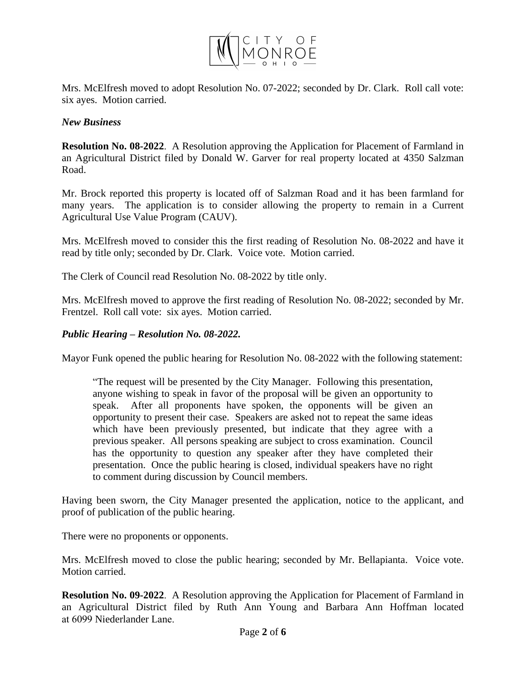

Mrs. McElfresh moved to adopt Resolution No. 07-2022; seconded by Dr. Clark. Roll call vote: six ayes. Motion carried.

#### *New Business*

**Resolution No. 08-2022**. A Resolution approving the Application for Placement of Farmland in an Agricultural District filed by Donald W. Garver for real property located at 4350 Salzman Road.

Mr. Brock reported this property is located off of Salzman Road and it has been farmland for many years. The application is to consider allowing the property to remain in a Current Agricultural Use Value Program (CAUV).

Mrs. McElfresh moved to consider this the first reading of Resolution No. 08-2022 and have it read by title only; seconded by Dr. Clark. Voice vote. Motion carried.

The Clerk of Council read Resolution No. 08-2022 by title only.

Mrs. McElfresh moved to approve the first reading of Resolution No. 08-2022; seconded by Mr. Frentzel. Roll call vote: six ayes. Motion carried.

#### *Public Hearing – Resolution No. 08-2022.*

Mayor Funk opened the public hearing for Resolution No. 08-2022 with the following statement:

"The request will be presented by the City Manager. Following this presentation, anyone wishing to speak in favor of the proposal will be given an opportunity to speak. After all proponents have spoken, the opponents will be given an opportunity to present their case. Speakers are asked not to repeat the same ideas which have been previously presented, but indicate that they agree with a previous speaker. All persons speaking are subject to cross examination. Council has the opportunity to question any speaker after they have completed their presentation. Once the public hearing is closed, individual speakers have no right to comment during discussion by Council members.

Having been sworn, the City Manager presented the application, notice to the applicant, and proof of publication of the public hearing.

There were no proponents or opponents.

Mrs. McElfresh moved to close the public hearing; seconded by Mr. Bellapianta. Voice vote. Motion carried.

**Resolution No. 09-2022**. A Resolution approving the Application for Placement of Farmland in an Agricultural District filed by Ruth Ann Young and Barbara Ann Hoffman located at 6099 Niederlander Lane.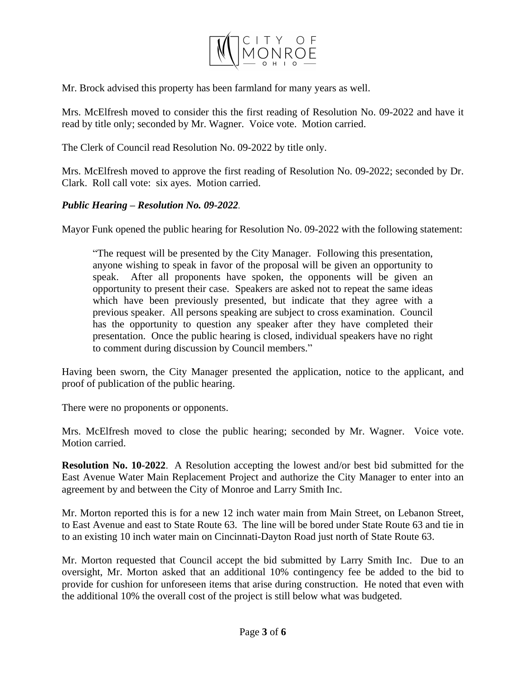

Mr. Brock advised this property has been farmland for many years as well.

Mrs. McElfresh moved to consider this the first reading of Resolution No. 09-2022 and have it read by title only; seconded by Mr. Wagner. Voice vote. Motion carried.

The Clerk of Council read Resolution No. 09-2022 by title only.

Mrs. McElfresh moved to approve the first reading of Resolution No. 09-2022; seconded by Dr. Clark. Roll call vote: six ayes. Motion carried.

### *Public Hearing – Resolution No. 09-2022.*

Mayor Funk opened the public hearing for Resolution No. 09-2022 with the following statement:

"The request will be presented by the City Manager. Following this presentation, anyone wishing to speak in favor of the proposal will be given an opportunity to speak. After all proponents have spoken, the opponents will be given an opportunity to present their case. Speakers are asked not to repeat the same ideas which have been previously presented, but indicate that they agree with a previous speaker. All persons speaking are subject to cross examination. Council has the opportunity to question any speaker after they have completed their presentation. Once the public hearing is closed, individual speakers have no right to comment during discussion by Council members."

Having been sworn, the City Manager presented the application, notice to the applicant, and proof of publication of the public hearing.

There were no proponents or opponents.

Mrs. McElfresh moved to close the public hearing; seconded by Mr. Wagner. Voice vote. Motion carried.

**Resolution No. 10-2022**. A Resolution accepting the lowest and/or best bid submitted for the East Avenue Water Main Replacement Project and authorize the City Manager to enter into an agreement by and between the City of Monroe and Larry Smith Inc.

Mr. Morton reported this is for a new 12 inch water main from Main Street, on Lebanon Street, to East Avenue and east to State Route 63. The line will be bored under State Route 63 and tie in to an existing 10 inch water main on Cincinnati-Dayton Road just north of State Route 63.

Mr. Morton requested that Council accept the bid submitted by Larry Smith Inc. Due to an oversight, Mr. Morton asked that an additional 10% contingency fee be added to the bid to provide for cushion for unforeseen items that arise during construction. He noted that even with the additional 10% the overall cost of the project is still below what was budgeted.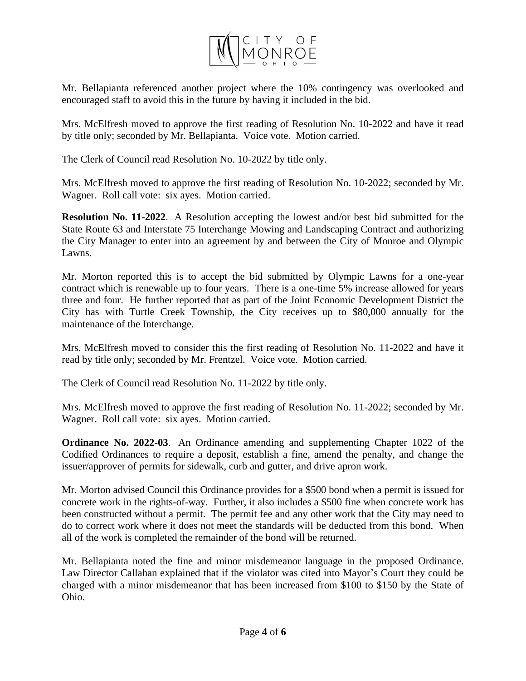

Mr. Bellapianta referenced another project where the 10% contingency was overlooked and encouraged staff to avoid this in the future by having it included in the bid.

Mrs. McElfresh moved to approve the first reading of Resolution No. 10-2022 and have it read by title only; seconded by Mr. Bellapianta. Voice vote. Motion carried.

The Clerk of Council read Resolution No. 10-2022 by title only.

Mrs. McElfresh moved to approve the first reading of Resolution No. 10-2022; seconded by Mr. Wagner. Roll call vote: six ayes. Motion carried.

**Resolution No. 11-2022**. A Resolution accepting the lowest and/or best bid submitted for the State Route 63 and Interstate 75 Interchange Mowing and Landscaping Contract and authorizing the City Manager to enter into an agreement by and between the City of Monroe and Olympic Lawns.

Mr. Morton reported this is to accept the bid submitted by Olympic Lawns for a one-year contract which is renewable up to four years. There is a one-time 5% increase allowed for years three and four. He further reported that as part of the Joint Economic Development District the City has with Turtle Creek Township, the City receives up to \$80,000 annually for the maintenance of the Interchange.

Mrs. McElfresh moved to consider this the first reading of Resolution No. 11-2022 and have it read by title only; seconded by Mr. Frentzel. Voice vote. Motion carried.

The Clerk of Council read Resolution No. 11-2022 by title only.

Mrs. McElfresh moved to approve the first reading of Resolution No. 11-2022; seconded by Mr. Wagner. Roll call vote: six ayes. Motion carried.

**Ordinance No. 2022-03**. An Ordinance amending and supplementing Chapter 1022 of the Codified Ordinances to require a deposit, establish a fine, amend the penalty, and change the issuer/approver of permits for sidewalk, curb and gutter, and drive apron work.

Mr. Morton advised Council this Ordinance provides for a \$500 bond when a permit is issued for concrete work in the rights-of-way. Further, it also includes a \$500 fine when concrete work has been constructed without a permit. The permit fee and any other work that the City may need to do to correct work where it does not meet the standards will be deducted from this bond. When all of the work is completed the remainder of the bond will be returned.

Mr. Bellapianta noted the fine and minor misdemeanor language in the proposed Ordinance. Law Director Callahan explained that if the violator was cited into Mayor's Court they could be charged with a minor misdemeanor that has been increased from \$100 to \$150 by the State of Ohio.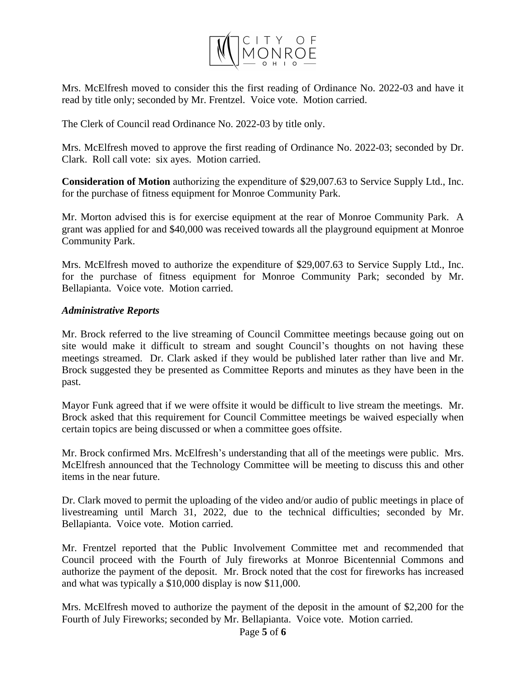

Mrs. McElfresh moved to consider this the first reading of Ordinance No. 2022-03 and have it read by title only; seconded by Mr. Frentzel. Voice vote. Motion carried.

The Clerk of Council read Ordinance No. 2022-03 by title only.

Mrs. McElfresh moved to approve the first reading of Ordinance No. 2022-03; seconded by Dr. Clark. Roll call vote: six ayes. Motion carried.

**Consideration of Motion** authorizing the expenditure of \$29,007.63 to Service Supply Ltd., Inc. for the purchase of fitness equipment for Monroe Community Park.

Mr. Morton advised this is for exercise equipment at the rear of Monroe Community Park. A grant was applied for and \$40,000 was received towards all the playground equipment at Monroe Community Park.

Mrs. McElfresh moved to authorize the expenditure of \$29,007.63 to Service Supply Ltd., Inc. for the purchase of fitness equipment for Monroe Community Park; seconded by Mr. Bellapianta. Voice vote. Motion carried.

#### *Administrative Reports*

Mr. Brock referred to the live streaming of Council Committee meetings because going out on site would make it difficult to stream and sought Council's thoughts on not having these meetings streamed. Dr. Clark asked if they would be published later rather than live and Mr. Brock suggested they be presented as Committee Reports and minutes as they have been in the past.

Mayor Funk agreed that if we were offsite it would be difficult to live stream the meetings. Mr. Brock asked that this requirement for Council Committee meetings be waived especially when certain topics are being discussed or when a committee goes offsite.

Mr. Brock confirmed Mrs. McElfresh's understanding that all of the meetings were public. Mrs. McElfresh announced that the Technology Committee will be meeting to discuss this and other items in the near future.

Dr. Clark moved to permit the uploading of the video and/or audio of public meetings in place of livestreaming until March 31, 2022, due to the technical difficulties; seconded by Mr. Bellapianta. Voice vote. Motion carried.

Mr. Frentzel reported that the Public Involvement Committee met and recommended that Council proceed with the Fourth of July fireworks at Monroe Bicentennial Commons and authorize the payment of the deposit. Mr. Brock noted that the cost for fireworks has increased and what was typically a \$10,000 display is now \$11,000.

Mrs. McElfresh moved to authorize the payment of the deposit in the amount of \$2,200 for the Fourth of July Fireworks; seconded by Mr. Bellapianta. Voice vote. Motion carried.